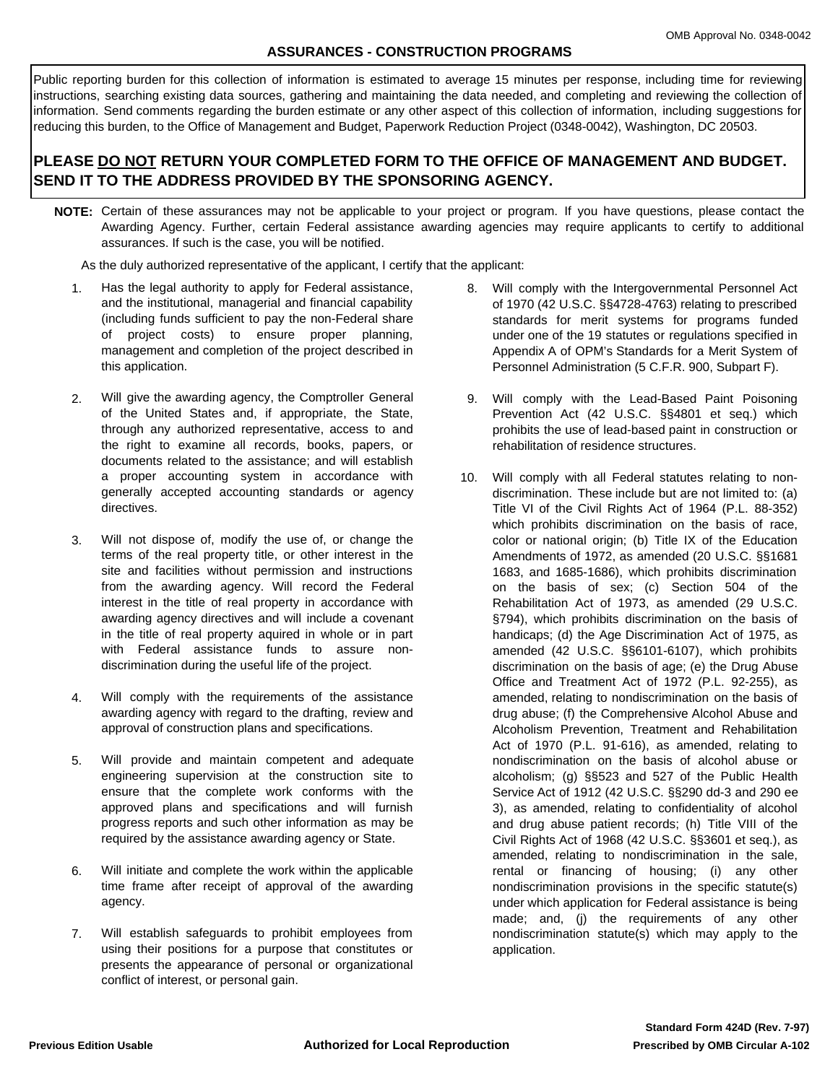## **ASSURANCES - CONSTRUCTION PROGRAMS**

Public reporting burden for this collection of information is estimated to average 15 minutes per response, including time for reviewing instructions, searching existing data sources, gathering and maintaining the data needed, and completing and reviewing the collection of information. Send comments regarding the burden estimate or any other aspect of this collection of information, including suggestions for reducing this burden, to the Office of Management and Budget, Paperwork Reduction Project (0348-0042), Washington, DC 20503.

## **PLEASE DO NOT RETURN YOUR COMPLETED FORM TO THE OFFICE OF MANAGEMENT AND BUDGET. SEND IT TO THE ADDRESS PROVIDED BY THE SPONSORING AGENCY.**

**NOTE:** Certain of these assurances may not be applicable to your project or program. If you have questions, please contact the Awarding Agency. Further, certain Federal assistance awarding agencies may require applicants to certify to additional assurances. If such is the case, you will be notified.

As the duly authorized representative of the applicant, I certify that the applicant:

- Has the legal authority to apply for Federal assistance, and the institutional, managerial and financial capability (including funds sufficient to pay the non-Federal share of project costs) to ensure proper planning, management and completion of the project described in this application. 1.
- Will give the awarding agency, the Comptroller General of the United States and, if appropriate, the State, through any authorized representative, access to and the right to examine all records, books, papers, or documents related to the assistance; and will establish a proper accounting system in accordance with generally accepted accounting standards or agency directives. 2.
- Will not dispose of, modify the use of, or change the terms of the real property title, or other interest in the site and facilities without permission and instructions from the awarding agency. Will record the Federal interest in the title of real property in accordance with awarding agency directives and will include a covenant in the title of real property aquired in whole or in part with Federal assistance funds to assure nondiscrimination during the useful life of the project. 3.
- Will comply with the requirements of the assistance awarding agency with regard to the drafting, review and approval of construction plans and specifications. 4.
- Will provide and maintain competent and adequate engineering supervision at the construction site to ensure that the complete work conforms with the approved plans and specifications and will furnish progress reports and such other information as may be required by the assistance awarding agency or State. 5.
- Will initiate and complete the work within the applicable time frame after receipt of approval of the awarding agency. 6.
- Will establish safeguards to prohibit employees from using their positions for a purpose that constitutes or presents the appearance of personal or organizational conflict of interest, or personal gain. 7.
- Will comply with the Intergovernmental Personnel Act 8. of 1970 (42 U.S.C. §§4728-4763) relating to prescribed standards for merit systems for programs funded under one of the 19 statutes or regulations specified in Appendix A of OPM's Standards for a Merit System of Personnel Administration (5 C.F.R. 900, Subpart F).
- Will comply with the Lead-Based Paint Poisoning 9. Prevention Act (42 U.S.C. §§4801 et seq.) which prohibits the use of lead-based paint in construction or rehabilitation of residence structures.
- 10. Will comply with all Federal statutes relating to nondiscrimination. These include but are not limited to: (a) Title VI of the Civil Rights Act of 1964 (P.L. 88-352) which prohibits discrimination on the basis of race, color or national origin; (b) Title IX of the Education Amendments of 1972, as amended (20 U.S.C. §§1681- 1683, and 1685-1686), which prohibits discrimination on the basis of sex; (c) Section 504 of the Rehabilitation Act of 1973, as amended (29 U.S.C. §794), which prohibits discrimination on the basis of handicaps; (d) the Age Discrimination Act of 1975, as amended (42 U.S.C. §§6101-6107), which prohibits discrimination on the basis of age; (e) the Drug Abuse Office and Treatment Act of 1972 (P.L. 92-255), as amended, relating to nondiscrimination on the basis of drug abuse; (f) the Comprehensive Alcohol Abuse and Alcoholism Prevention, Treatment and Rehabilitation Act of 1970 (P.L. 91-616), as amended, relating to nondiscrimination on the basis of alcohol abuse or alcoholism; (g) §§523 and 527 of the Public Health Service Act of 1912 (42 U.S.C. §§290 dd-3 and 290 ee-3), as amended, relating to confidentiality of alcohol and drug abuse patient records; (h) Title VIII of the Civil Rights Act of 1968 (42 U.S.C. §§3601 et seq.), as amended, relating to nondiscrimination in the sale, rental or financing of housing; (i) any other nondiscrimination provisions in the specific statute(s) under which application for Federal assistance is being made; and, (j) the requirements of any other nondiscrimination statute(s) which may apply to the application.